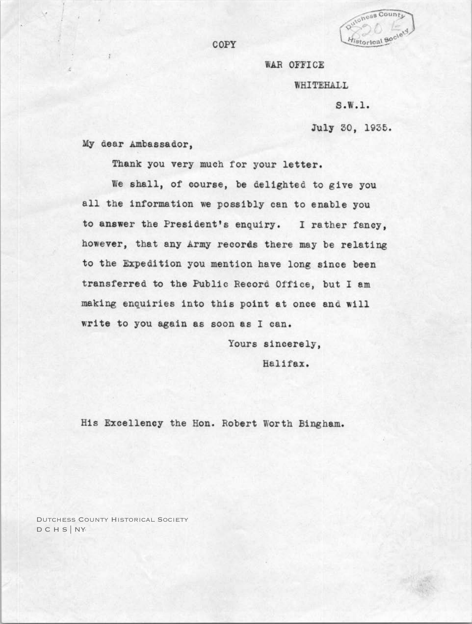

COPY

WAR OFFICE

WHITEHALL

s.w.1.

July 30, 1935.

My dear Ambassador,

Thank you very much for your letter.

We shall, of course. be delighted to give you all the information we possibly can to enable you to **answer** the President's enquiry. I rather fancy, however. that any Army records there may be relating to the Expedition you mention have long since been transferred to the Public Record Office. but I am making enquiries into this point at once and **will**  write to you again as soon as I can.

> Yours sincerely. Halifax.

Bis Excellency the Hon. Robert Worth Bingham.

Dutchess County Historical Society D C H S | NY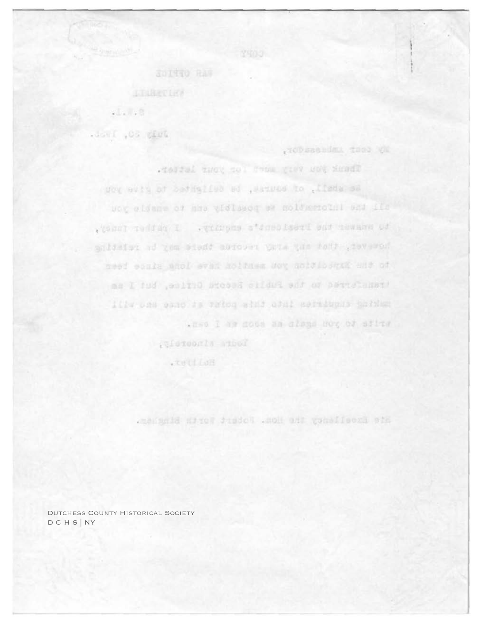RAN OFICE

**LISBETING** 

 $-1.1.0$ 

.dowl .08 giut

robsassim tons vil

Thurs fou vou go and to your and the

Y409

We shall, of bathsilve wi surround to their Doy eldane of mas vidlages or moldmerschil end its . your redrag I . ethnes a drep have and rewarm of anitosist of the staff autover pata the follo theverof need conta ahol even meltanes woy noislosmak and of ma I fud , saltho stessa clidud ads or pertstanss! ille can game is vaice aini abui seraiques gaiden Liss I ar goos an gland Hor of sfirs

bedra sinosta post

.tellida

analysis strop traded and ont vanafisers and

DUTCHESS COUNTY HISTORICAL SOCIETY DCHSNY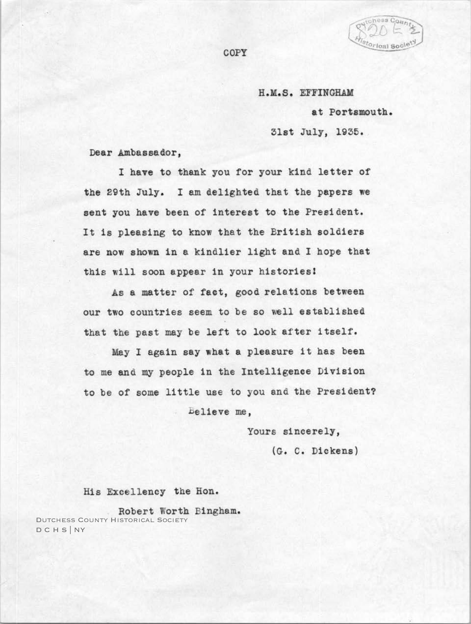**Chess** Count torloat Soole

COPY

## H.M.S. EFFINGHAM

**at** Portsmouth.

31st July, 1935.

Dear Ambassador,

I **have** to thank you for your kind letter of the 29th July. I am delighted that the papers we sent you have been of interest to the President. It is pleasing to know that the British soldiers are now shown in a kindlier light and I hope that this will soon appear in your histories:

As a matter of fact, good relations between our two countries seem to be so well established that the past may be left to look after itself.

May I again say **what a** pleasure it has been to me and my people in the Intelligence Division to be of some little use to you and the President?

Believe me,

Yours sincerely,

(G. C. Dickens)

## His Excellency the Hon.

Robert Worth Bingham. Dutchess County Historical Society D C H S | NY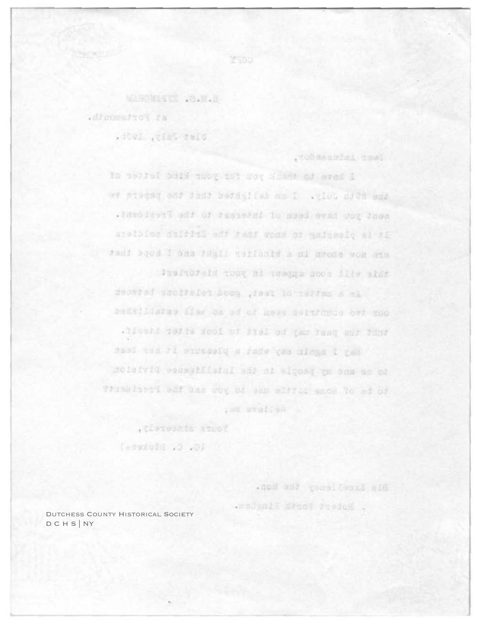MANOMIANE .B.M.H.

at Fortsmouth.

Norwer of

sist .giat tals.

Tobas ardsa used

In 1973 to water you for you kind and it er strest and dans bedsilled as I wilde nide and . Inspiration have been of inseres to fine Freelers. atetolos deltita edi radi vond of quieseiq al ti tsif agod I has titll terthain a ni mvone won age Instructable thou at teams noon lite shift

decerted usettefet boms , fost lo talfam a mi beds!lists) flar os od of meas solarmoo ort muo tisabl rudle fooi ut fiel od tam fest and fine hay I san the way what a plasare it as accepted nolalvid sonsylfisial and al elgust gm ans du od

to be of some iffice and to you and the Prezident?

, and sweeting

. ¿Leteonis atmof (assisted .0 .0)

Bis Excellency the Ron.

andsall druot fredom DUTCHESS COUNTY HISTORICAL SOCIETY DCHS NY

ZSDD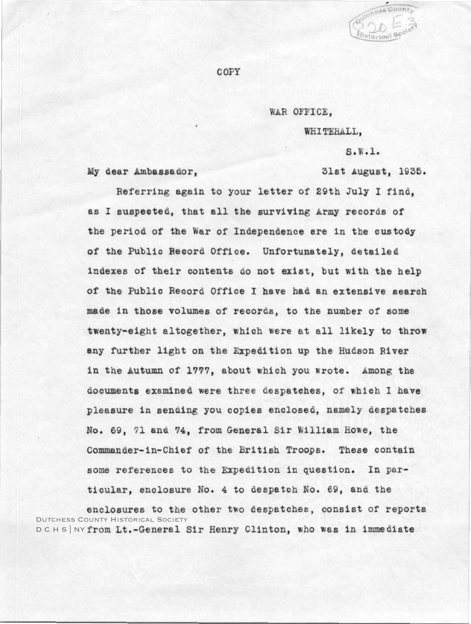WAR OFFICE,

WHITEHALL,

 $S. N.1.$ 

.My dear Ambassador,

31st August, 1936.

 $<sub>0.58</sub>$  Count,</sub>

*Historical* Society

Referring again to your letter of 29th July I find, as I suspected, that all the surviving Army records of the period of the War of Independence are in the custody of the Public Record Office. Unfortunately, detailed indexes of their contents do not exist, but with the help of the Public Record Office I have had an extensive search made in those volumes of records, to the number of some twenty-eight altogether, which were at all likely to throw any further light on the Expedition up the Hudson River in the Autwnn of 177?, about **which** you **wrote.** Among the documents examined **were** three despatches, of **which** I **have**  pleasure in sending you copies enclosed, namely despatches No. 69, 71 and 74, from General Sir William Howe, the Commander-in-Chief of the British Troops. These contain some references to the Expedition in question. In particular, enclosure No. 4 to despatch No. 69, and the

enclosures to the other two despatches, consist of reports D C H S | NY from Lt.-General Sir Henry Clinton, who was in immediate Dutchess County Historical Society

COPY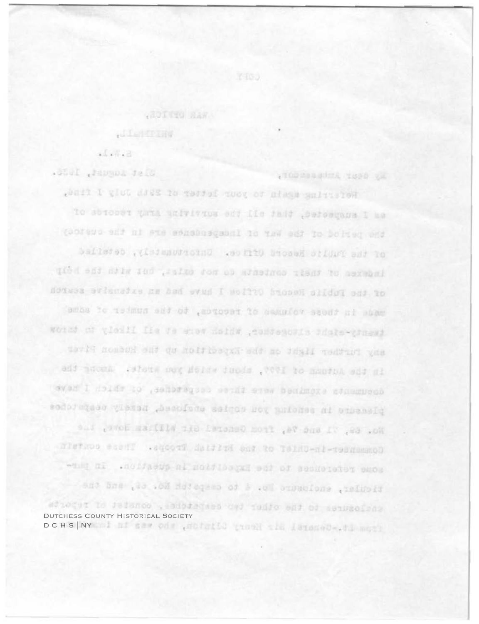ABOINTO RAWA

**ALL** BETTERY

 $1.1.1$ 

Jetul ,Japan, Jetu. viúpessaduti tseb vz with I glut dies to meeted twoy or single salves of to streper yars univirous edd ife that , serespons I as gooreus edf al ete sensbusgammi la taw edf lo bolteg edf bailetes , (istendated on this functional , detailed tion of hile the tan bon op almotres that to assame dotasa evianatza am had evud I moltto bacoen clidat eds to ambs to tedmus and of , speceer to semulov sends at shaw temety-eight sleepers which were at Birly to take a davle nombed out ou holt hogen add ap thalf vodtur you in the Automa of 1999, should which you knotch and the decuments chemist three three detainers city backets I head pleasure in pensing you contes enclosed, news vessely No. 69, 71 and 74, from Ceneral Sir William Sove, the aletado scent .sqcoti datila est to Taldo-al-tessamanos weig ni .noffaeup ni notfloogal sof of secondistor emos ticular, enclosure To. A to caspotan Bo. of, and the afiotet le falance , adotatase out todie enf of astusoions DUTCHESS COUNTY HISTORICAL SOCIETY DCHS NY of hi sew one whotels the is lessed-th most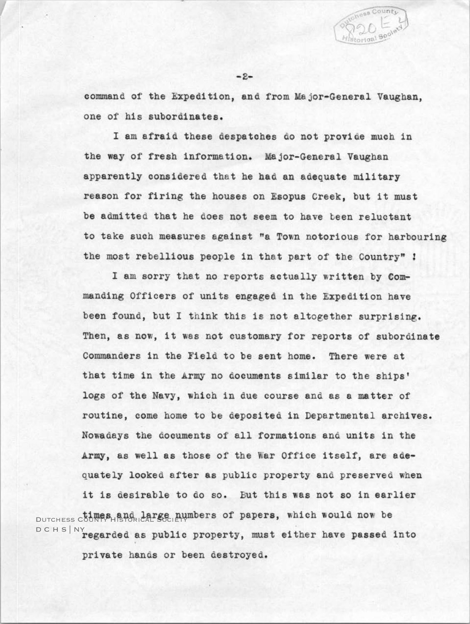

command of the Expedition, and from Major-General Vaughan, one of his subordinates.

I am afraid these despatches do not provide much in the way of fresh information. Major-General Vaughan apparently considered that he had an adequate military reason for firing the houses on Esopus Creek, but it must be admitted that he does not seem to have been reluctant to take such measures against "a Town notorious for harbouring the most rebellious people in that part of the Country":

I am sorry that no reports actually written by Commanding Officers of units engaged in the Expedition have been found, but I think this is not altogether surprising. Then, as now, it was not customary for reports of subordinate Commanders in the Field to be sent home. There were at that time in the Army no documents similar to the ships' logs of the Navy, which in due course and as a matter of routine, come home to be deposited in Departmental archives. Nowadays the documents of all formations and units in the Army, as well as those of the War Office itself, are adequately looked after as public property and preserved when it is desirable to do so. But this was not so in earlier

DUTCHESS COUNTY HISTORICAL SOCIETY MODERS of papers, which would now be  $D$ C H S | NY regarded as public property, must either have passed into private hands or been destroyed.

 $-2-$ 

 $\sqrt{2}$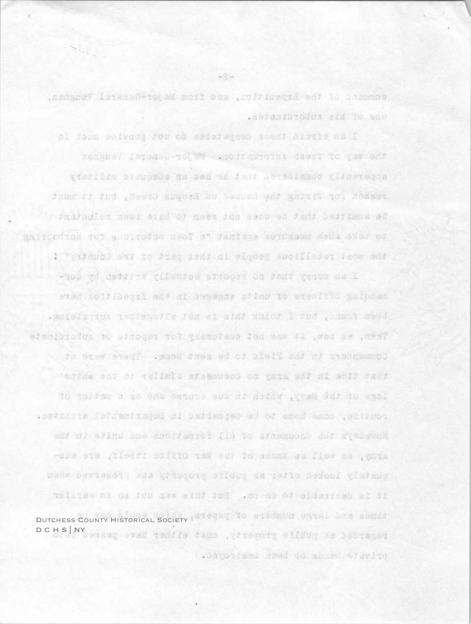common is the hroughtfon, and from Mar-General Veughan, .seranibrodus ald To and

 $+3 +$ 

al Homm sulvere tou ou senatagean saent sistes ma I menansy lepsgab-nothe agoineurolal deant to yew out www.bim elsupple as bad en faul Detenianos visserauca reseal for tire the host we search and actes the strip Jastadier need eval of mess son asom en tant beitings ad anitionis tul anoitoism nuol av fantaga settasam Kona avas of I walkuco saf to fim dadd al sladed awoilleded deom edf

whos yd detire tilented stroner on tail yrsee as I stad notifiequi ent ni beseume silab to stepling galanam putelirmus tenismovic Jon et sint aniat I fud , banot mood Then, as bow, it was not enamely for peposis of solordinate o to stew swed! . smod dass ed of slaff and al anobskame) Westing and of relimin atsenweed on this and mi and tast lo tolim a as one setuco out at totar , was sur in each .sevidois fatrasitates at berisages ad of emod mans ,elligot ent al stind das anotiamies ils to atmembed and agency Army, as well or those of the War Office iteslf, are avenedw loeries als also allows pricing and the present with TOILTOG hi da Jon ann aint tui . ne dù Af dideritad al VI DUTCHESS COUNTY HISTORICAL SOCIETY 19 1909 TO STOUTHE BOTH LOOD BOOTH D C H S AY Bealag Swad taille faus <sub>a</sub> greening of did to boots wit .os ottas ased to abuse wisting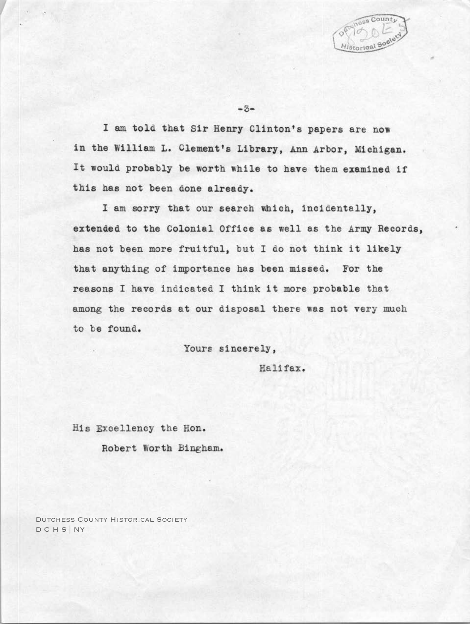

1 am told that Sir Henry Clinton's papers are now in the William L. Clement's Library, Ann Arbor, Michigan. It would probably be worth while to have them examined if this has not been done already.

-3-

I am sorry that our search which, incidentally, extended to the Colonial Office as well as the Army Records, has not been more fruitful, but I do not think it likely that anything of importance has been missed. For the reasons I have indicated I think it more probable that among the records at our disposal there was not very much to be found.

Yours sincerely,

Halifax.

## His Excellency the Hon. Robert Worth Bingham.

Dutchess County Historical Society D C H S | NY

**restrict**